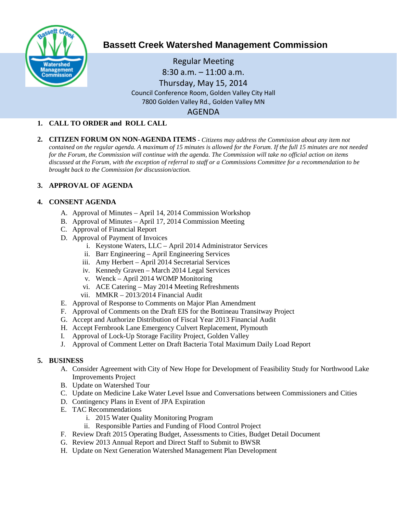

# **Bassett Creek Watershed Management Commission**

Regular Meeting 8:30 a.m. – 11:00 a.m. Thursday, May 15, 2014 Council Conference Room, Golden Valley City Hall 7800 Golden Valley Rd., Golden Valley MN AGENDA

#### **1. CALL TO ORDER and ROLL CALL**

**2. CITIZEN FORUM ON NON-AGENDA ITEMS -** *Citizens may address the Commission about any item not contained on the regular agenda. A maximum of 15 minutes is allowed for the Forum. If the full 15 minutes are not needed for the Forum, the Commission will continue with the agenda. The Commission will take no official action on items discussed at the Forum, with the exception of referral to staff or a Commissions Committee for a recommendation to be brought back to the Commission for discussion/action.*

#### **3. APPROVAL OF AGENDA**

#### **4. CONSENT AGENDA**

- A. Approval of Minutes April 14, 2014 Commission Workshop
- B. Approval of Minutes April 17, 2014 Commission Meeting
- C. Approval of Financial Report
- D. Approval of Payment of Invoices
	- i. Keystone Waters, LLC April 2014 Administrator Services
	- ii. Barr Engineering April Engineering Services
	- iii. Amy Herbert April 2014 Secretarial Services
	- iv. Kennedy Graven March 2014 Legal Services
	- v. Wenck April 2014 WOMP Monitoring
	- vi. ACE Catering May 2014 Meeting Refreshments
	- vii. MMKR 2013/2014 Financial Audit
- E. Approval of Response to Comments on Major Plan Amendment
- F. Approval of Comments on the Draft EIS for the Bottineau Transitway Project
- G. Accept and Authorize Distribution of Fiscal Year 2013 Financial Audit
- H. Accept Fernbrook Lane Emergency Culvert Replacement, Plymouth
- I. Approval of Lock-Up Storage Facility Project, Golden Valley
- J. Approval of Comment Letter on Draft Bacteria Total Maximum Daily Load Report

#### **5. BUSINESS**

- A. Consider Agreement with City of New Hope for Development of Feasibility Study for Northwood Lake Improvements Project
- B. Update on Watershed Tour
- C. Update on Medicine Lake Water Level Issue and Conversations between Commissioners and Cities
- D. Contingency Plans in Event of JPA Expiration
- E. TAC Recommendations
	- i. 2015 Water Quality Monitoring Program
	- ii. Responsible Parties and Funding of Flood Control Project
- F. Review Draft 2015 Operating Budget, Assessments to Cities, Budget Detail Document
- G. Review 2013 Annual Report and Direct Staff to Submit to BWSR
- H. Update on Next Generation Watershed Management Plan Development